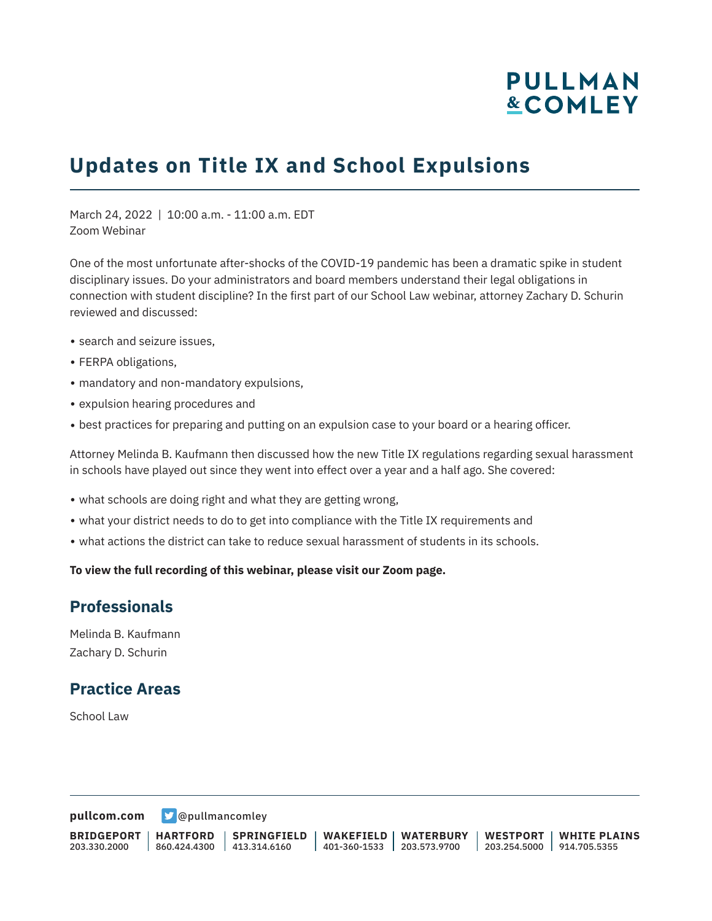# **PULLMAN &COMLEY**

## **Updates on Title IX and School Expulsions**

March 24, 2022 | 10:00 a.m. - 11:00 a.m. EDT Zoom Webinar

One of the most unfortunate after-shocks of the COVID-19 pandemic has been a dramatic spike in student disciplinary issues. Do your administrators and board members understand their legal obligations in connection with student discipline? In the first part of our School Law webinar, attorney Zachary D. Schurin reviewed and discussed:

- search and seizure issues.
- FERPA obligations,
- mandatory and non-mandatory expulsions,
- expulsion hearing procedures and
- best practices for preparing and putting on an expulsion case to your board or a hearing officer.

Attorney Melinda B. Kaufmann then discussed how the new Title IX regulations regarding sexual harassment in schools have played out since they went into effect over a year and a half ago. She covered:

- what schools are doing right and what they are getting wrong,
- what your district needs to do to get into compliance with the Title IX requirements and
- what actions the district can take to reduce sexual harassment of students in its schools.

**To view the full recording of this webinar, please visit our Zoom page.**

#### **Professionals**

Melinda B. Kaufmann Zachary D. Schurin

#### **Practice Areas**

School Law

**[pullcom.com](https://www.pullcom.com)** [@pullmancomley](https://twitter.com/PullmanComley)

**BRIDGEPORT** 203.330.2000

**SPRINGFIELD**

**WAKEFIELD WATERBURY** 401-360-1533 203.573.9700